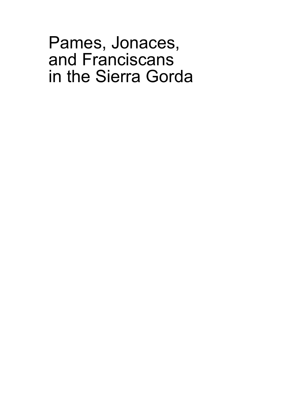# Pames, Jonaces, and Franciscans in the Sierra Gorda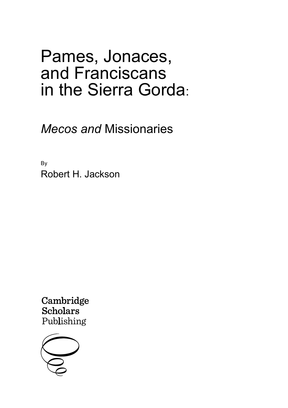# Pames, Jonaces, and Franciscans in the Sierra Gorda:

*Mecos and* Missionaries

By Robert H. Jackson

Cambridge **Scholars** Publishing

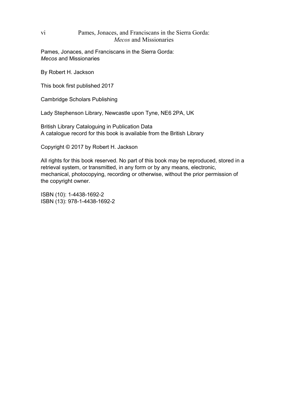#### Pames, Jonaces, and Franciscans in the Sierra Gorda: *Mecos* and Missionaries

Pames, Jonaces, and Franciscans in the Sierra Gorda: *Mecos* and Missionaries

By Robert H. Jackson

This book first published 2017

Cambridge Scholars Publishing

Lady Stephenson Library, Newcastle upon Tyne, NE6 2PA, UK

British Library Cataloguing in Publication Data A catalogue record for this book is available from the British Library

Copyright © 2017 by Robert H. Jackson

All rights for this book reserved. No part of this book may be reproduced, stored in a retrieval system, or transmitted, in any form or by any means, electronic, mechanical, photocopying, recording or otherwise, without the prior permission of the copyright owner.

ISBN (10): 1-4438-1692-2 ISBN (13): 978-1-4438-1692-2

vi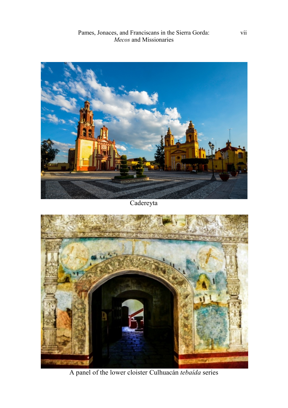

Cadereyta



A panel of the lower cloister Culhuacán tebaída series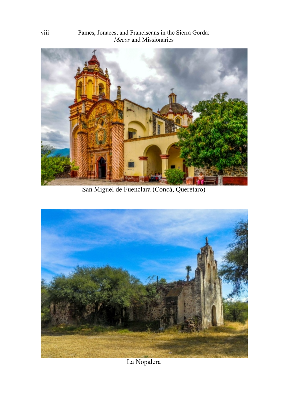

San Miguel de Fuenclara (Concá, Querétaro)



La Nopalera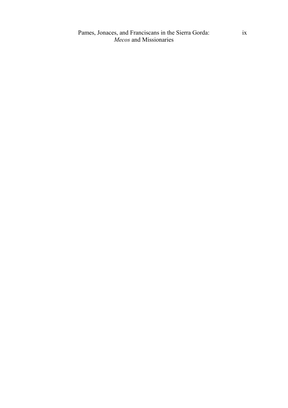Pames, Jonaces, and Franciscans in the Sierra Gorda: Mecos and Missionaries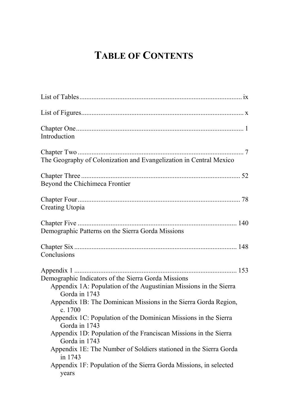## **TABLE OF CONTENTS**

| Introduction                                                                                                                                                                                                                                                                                                                                                                                                                                                                                                                                            |  |
|---------------------------------------------------------------------------------------------------------------------------------------------------------------------------------------------------------------------------------------------------------------------------------------------------------------------------------------------------------------------------------------------------------------------------------------------------------------------------------------------------------------------------------------------------------|--|
| The Geography of Colonization and Evangelization in Central Mexico                                                                                                                                                                                                                                                                                                                                                                                                                                                                                      |  |
| Beyond the Chichimeca Frontier                                                                                                                                                                                                                                                                                                                                                                                                                                                                                                                          |  |
| Creating Utopia                                                                                                                                                                                                                                                                                                                                                                                                                                                                                                                                         |  |
| Demographic Patterns on the Sierra Gorda Missions                                                                                                                                                                                                                                                                                                                                                                                                                                                                                                       |  |
| Conclusions                                                                                                                                                                                                                                                                                                                                                                                                                                                                                                                                             |  |
| Demographic Indicators of the Sierra Gorda Missions<br>Appendix 1A: Population of the Augustinian Missions in the Sierra<br>Gorda in 1743<br>Appendix 1B: The Dominican Missions in the Sierra Gorda Region,<br>c. $1700$<br>Appendix 1C: Population of the Dominican Missions in the Sierra<br>Gorda in 1743<br>Appendix 1D: Population of the Franciscan Missions in the Sierra<br>Gorda in 1743<br>Appendix 1E: The Number of Soldiers stationed in the Sierra Gorda<br>in 1743<br>Appendix 1F: Population of the Sierra Gorda Missions, in selected |  |
| years                                                                                                                                                                                                                                                                                                                                                                                                                                                                                                                                                   |  |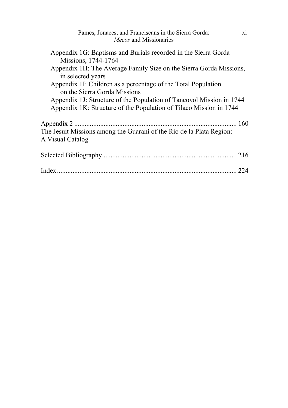| Pames, Jonaces, and Franciscans in the Sierra Gorda:<br>Mecos and Missionaries                                                                                                             | X1 |
|--------------------------------------------------------------------------------------------------------------------------------------------------------------------------------------------|----|
| Appendix 1G: Baptisms and Burials recorded in the Sierra Gorda<br>Missions, 1744-1764<br>Appendix 1H: The Average Family Size on the Sierra Gorda Missions,                                |    |
| in selected years<br>Appendix 1I: Children as a percentage of the Total Population<br>on the Sierra Gorda Missions<br>Appendix 1J: Structure of the Population of Tancoyol Mission in 1744 |    |
| Appendix 1K: Structure of the Population of Tilaco Mission in 1744                                                                                                                         |    |
| The Jesuit Missions among the Guaraní of the Río de la Plata Region:<br>A Visual Catalog                                                                                                   |    |
|                                                                                                                                                                                            |    |
|                                                                                                                                                                                            |    |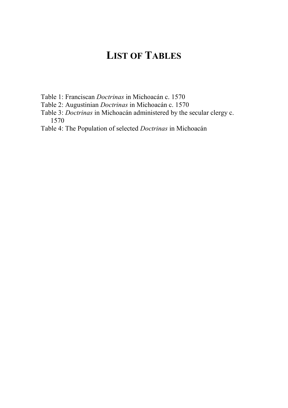### **LIST OF TABLES**

- Table 1: Franciscan *Doctrinas* in Michoacán c. 1570
- Table 2: Augustinian *Doctrinas* in Michoacán c. 1570
- Table 3: *Doctrinas* in Michoacán administered by the secular clergy c. 1570
- Table 4: The Population of selected *Doctrinas* in Michoacán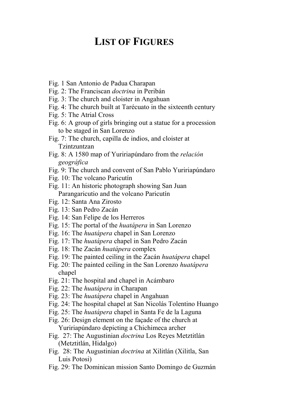### **LIST OF FIGURES**

- Fig. 1 San Antonio de Padua Charapan
- Fig. 2: The Franciscan *doctrina* in Peribán
- Fig. 3: The church and cloister in Angahuan
- Fig. 4: The church built at Tarécuato in the sixteenth century
- Fig. 5: The Atrial Cross
- Fig. 6: A group of girls bringing out a statue for a procession to be staged in San Lorenzo
- Fig. 7: The church, capilla de indios, and cloister at Tzintzuntzan
- Fig. 8: A 1580 map of Yuririapúndaro from the *relación geográfica*
- Fig. 9: The church and convent of San Pablo Yuririapúndaro
- Fig. 10: The volcano Paricutín
- Fig. 11: An historic photograph showing San Juan Parangaricutio and the volcano Paricutín
- Fig. 12: Santa Ana Zirosto
- Fig. 13: San Pedro Zacán
- Fig. 14: San Felipe de los Herreros
- Fig. 15: The portal of the *huatápera* in San Lorenzo
- Fig. 16: The *huatápera* chapel in San Lorenzo
- Fig. 17: The *huatápera* chapel in San Pedro Zacán
- Fig. 18: The Zacán *huatápera* complex
- Fig. 19: The painted ceiling in the Zacán *huatápera* chapel
- Fig. 20: The painted ceiling in the San Lorenzo *huatápera* chapel
- Fig. 21: The hospital and chapel in Acámbaro
- Fig. 22: The *huatápera* in Charapan
- Fig. 23: The *huatápera* chapel in Angahuan
- Fig. 24: The hospital chapel at San Nicolás Tolentino Huango
- Fig. 25: The *huatápera* chapel in Santa Fe de la Laguna
- Fig. 26: Design element on the façade of the church at Yuririapúndaro depicting a Chichimeca archer
- Fig. 27: The Augustinian *doctrina* Los Reyes Metztitlán (Metztitlán, Hidalgo)
- Fig. 28: The Augustinian *doctrina* at Xilitlán (Xilitla, San Luis Potosi)
- Fig. 29: The Dominican mission Santo Domingo de Guzmán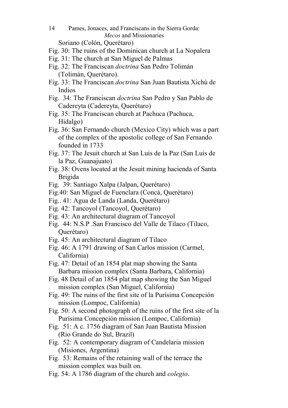Pames, Jonaces, and Franciscans in the Sierra Gorda: 14 *Mecos* and Missionaries

Soriano (Colón, Querétaro)

- Fig. 30: The ruins of the Dominican church at La Nopalera
- Fig. 31: The church at San Miguel de Palmas
- Fig. 32: The Franciscan *doctrina* San Pedro Tolimán (Tolimán, Querétaro).
- Fig. 33: The Franciscan *doctrina* San Juan Bautista Xichú de Indios
- Fig. 34: The Franciscan *doctrina* San Pedro y San Pablo de Cadereyta (Cadereyta, Querétaro)
- Fig. 35: The Franciscan church at Pachuca (Pachuca, Hidalgo)
- Fig. 36: San Fernando church (Mexico City) which was a part of the complex of the apostolic college of San Fernando founded in 1733
- Fig. 37: The Jesuit church at San Luis de la Paz (San Luis de la Paz, Guanajuato)
- Fig. 38: Ovens located at the Jesuit mining hacienda of Santa Brigida
- Fig. 39: Santiago Xalpa (Jalpan, Querétaro)
- Fig.40: San Miguel de Fuenclara (Concá, Querétaro)
- Fig.. 41: Agua de Landa (Landa, Querétaro)
- Fig. 42: Tancoyol (Tancoyol, Querétaro)
- Fig. 43: An architectural diagram of Tancoyol
- Fig. 44: N.S.P .San Francisco del Valle de Tilaco (Tilaco, Querétaro)
- Fig. 45: An architectural diagram of Tilaco
- Fig. 46: A 1791 drawing of San Carlos mission (Carmel, California)
- Fig. 47: Detail of an 1854 plat map showing the Santa Barbara mission complex (Santa Barbara, California)
- Fig. 48 Detail of an 1854 plat map showing the San Miguel mission complex (San Miguel, California)
- Fig. 49: The ruins of the first site of la Purísima Concepción mission (Lompoc, California)
- Fig. 50: A second photograph of the ruins of the first site of la Purísima Concepción mission (Lompoc, California)
- Fig. 51: A c. 1756 diagram of San Juan Bautista Mission (Rio Grande do Sul, Brazil)
- Fig. 52: A contemporary diagram of Candelaria mission (Misiones, Argentina)
- Fig. 53: Remains of the retaining wall of the terrace the mission complex was built on.
- Fig. 54: A 1786 diagram of the church and *colegio*.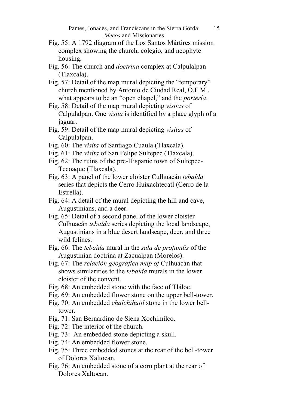- Fig. 55: A 1792 diagram of the Los Santos Mártires mission complex showing the church, colegio, and neophyte housing.
- Fig. 56: The church and *doctrina* complex at Calpulalpan (Tlaxcala).
- Fig. 57: Detail of the map mural depicting the "temporary" church mentioned by Antonio de Ciudad Real, O.F.M., what appears to be an "open chapel," and the *portería*.
- Fig. 58: Detail of the map mural depicting *visitas* of Calpulalpan. One *visita* is identified by a place glyph of a jaguar.
- Fig. 59: Detail of the map mural depicting *visitas* of Calpulalpan.
- Fig. 60: The *visita* of Santiago Cuaula (Tlaxcala).
- Fig. 61: The *visita* of San Felipe Sultepec (Tlaxcala).
- Fig. 62: The ruins of the pre-Hispanic town of Sultepec- Tecoaque (Tlaxcala).
- Fig. 63: A panel of the lower cloister Culhuacán *tebaída* series that depicts the Cerro Huixachtecatl (Cerro de la Estrella).
- Fig. 64: A detail of the mural depicting the hill and cave, Augustinians, and a deer.
- Fig. 65: Detail of a second panel of the lower cloister Culhuacán *tebaída* series depicting the local landscape, Augustinians in a blue desert landscape, deer, and three wild felines.
- Fig. 66: The *tebaída* mural in the *sala de profundis* of the Augustinian doctrina at Zacualpan (Morelos).
- Fig. 67: The *relación geográfica map of* Culhuacán that shows similarities to the *tebaída* murals in the lower cloister of the convent.
- Fig. 68: An embedded stone with the face of Tláloc.
- Fig. 69: An embedded flower stone on the upper bell-tower.
- Fig. 70: An embedded *chalchihuitl* stone in the lower belltower.
- Fig. 71: San Bernardino de Siena Xochimilco.
- Fig. 72: The interior of the church.
- Fig. 73: An embedded stone depicting a skull.
- Fig. 74: An embedded flower stone.
- Fig. 75: Three embedded stones at the rear of the bell-tower of Dolores Xaltocan.
- Fig. 76: An embedded stone of a corn plant at the rear of Dolores Xaltocan.